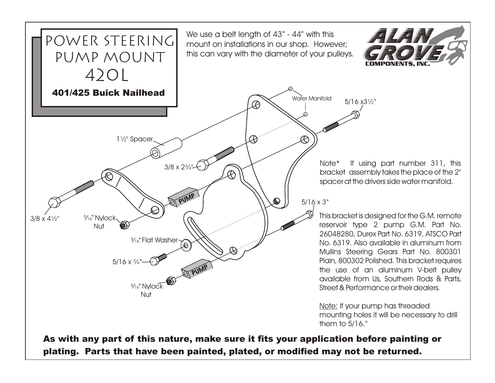

plating. Parts that have been painted, plated, or modified may not be returned.